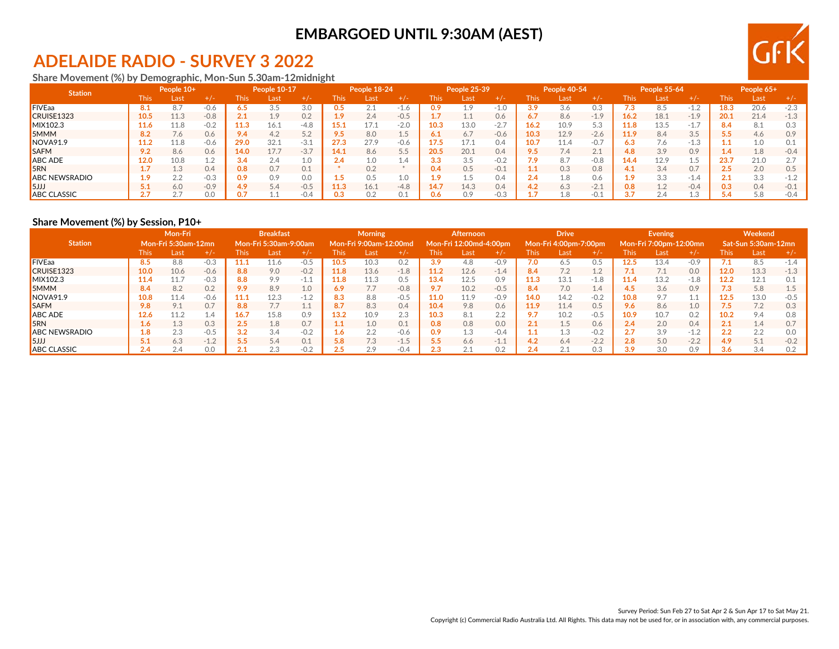## **ADELAIDE RADIO - SURVEY 3 2022**

**Share Movement (%) by Demographic, Mon-Sun 5.30am-12midnight**

| <b>Station</b>       |       | People 10+         |        |      | People 10-17 |           |      | People 18-24 |           |                  | People 25-39 |        |      | People 40-54 |        |      | People 55-64 |             |      | People 65+ |              |
|----------------------|-------|--------------------|--------|------|--------------|-----------|------|--------------|-----------|------------------|--------------|--------|------|--------------|--------|------|--------------|-------------|------|------------|--------------|
|                      | This. | Last               | $+/-$  | This | Last         | $+/-$     | This | Last         | $+/-$     | This             | Last         | + / -  | This | Last         | $+/-$  | This | Last         | $+/-$       | This | Last       | $+1-$        |
| <b>FIVEaa</b>        |       | 8.7                | $-0.6$ | 6.5  |              | 3.0       | 0.5  |              | 1.0       |                  | 1.9          |        | 3.9  | 3.6          | 0.3    | 7.3  |              |             | 18.3 | 20.6       | $-2.3$       |
| CRUISE1323           | 10.5  | 11.3               | $-0.8$ | 2.1  | 1.9          | 0.2       | 1.9  | 2.4          | $-0.5$    |                  |              | 0.6    | 6.7  | 8.6          | $-1.9$ | 16.2 | 18.1         | $-1.9$      | 20.1 | 21.4       | $-1.3$       |
| MIX102.3             | 11.6  | 11.8               | $-0.2$ | 11.3 | 16.1         | $-4.8$    | 15.1 |              | $-2.0$    | 10.3             | 13.0         | -2.7   | 16.2 | 10.9         | 5.3    | 11.8 | 13.5         | -1.,        |      | 8.1        |              |
| <b>5MMM</b>          |       | 7.6                | 0.6    | 9.4  | 4.2          | 50<br>J.Z | 9.5  | 8.0          | 15<br>T.J |                  | 6.7          | $-0.6$ | 10.3 | 12.9         | $-2.6$ | 11.9 | 8.4          | 3.5         |      | 4.6        | 0.9          |
| NOVA91.9             |       | 11.8               | $-0.6$ | 29.0 | 32.1         | $-3.1$    | 27.3 | 27.9         | $-0.6$    |                  | 17.1         | 0.4    | 10.7 | 11.4         | $-0.7$ | 6.3  | 7.6          | L.J         |      | 1.0        |              |
| <b>SAFM</b>          |       | 8.6                | 0.6    | 14.0 | 17.7         | $-3.7$    | 14.1 | 8.6          | 5.5       | 20.5             | 20.1         | 0.4    | 9.5  | 7.4          | 2.1    | 4.8  | 3.9          | 0.9         |      | 1.8        | $-0.4$       |
| <b>ABC ADE</b>       | 12.0  | 10.8               | 1.2    | 3.4  | 2.4          | 1.0       | 2.4  | 1.0          | 1.4       |                  | 3.5          | $-0.2$ | 7.9  | 8.7          | $-0.8$ | 14.4 | 12.9         | -           | 23.7 | 21.0       |              |
| 5RN                  |       | $1^{\circ}$<br>L.J | 0.4    | 0.8  | 0.7          | 0.1       |      | 0.2          |           | 0.4              | 0.5          | $-0.1$ | 1.1  | 0.3          | 0.8    |      | 3.4          | 0.7         |      | 2.0        | 0.5          |
| <b>ABC NEWSRADIO</b> |       | 2.2                | $-0.3$ | 0.9  | 0.9          | 0.0       |      | 0.5          | 1.0       |                  | d.1          | 0.4    | 2.4  | 1.8          | 0.6    | 1 Q  | 3.3          | 1.4<br>$-1$ |      | 3.3        | $-1$ $\circ$ |
| 5JJ                  |       | 6.0                | $-0.9$ | 4.9  | 5.4          | $-0.5$    | 11.3 | 16.1         | $-4.8$    | 14.7             | 14.3         | 0.4    | 4.2  | 6.3          | $-2.1$ | 0.8  | 1.2          | $-0.4$      | 0.3  | 0.4        | $-0.1$       |
| <b>ABC CLASSIC</b>   |       |                    | 0.0    | 0.7  |              | $-0.4$    | 0.3  | 0.2          |           | 0.6 <sub>1</sub> | 0.9          |        |      | 1.8          | $-0.1$ | 3.7  | 2.4          |             |      | 5.8        | $-0.4$       |

### **Share Movement (%) by Session, P10+**

|                      |       | Mon-Fri<br><b>Mon-Fri 5:30am-12mn</b> |        |      | <b>Breakfast</b>      |                      |             | <b>Morning</b>         |        |                      | <b>Afternoon</b>       |        |                | <b>Drive</b>          |        |      | <b>Evening</b>         |        |      | Weekend             |        |
|----------------------|-------|---------------------------------------|--------|------|-----------------------|----------------------|-------------|------------------------|--------|----------------------|------------------------|--------|----------------|-----------------------|--------|------|------------------------|--------|------|---------------------|--------|
| <b>Station</b>       |       |                                       |        |      | Mon-Fri 5:30am-9:00am |                      |             | Mon-Fri 9:00am-12:00md |        |                      | Mon-Fri 12:00md-4:00pm |        |                | Mon-Fri 4:00pm-7:00pm |        |      | Mon-Fri 7:00pm-12:00mn |        |      | Sat-Sun 5:30am-12mn |        |
|                      | This. | Last                                  | $+/-$  | This | Last                  | $+/-$                | <b>This</b> | Last                   | $+1-$  | This                 | Last                   | $+/-$  | This           | Last                  | $+/-$  | This | Last                   | $+/-$  | This | Last                |        |
| <b>FIVEaa</b>        | 8.5   | 8.8                                   | $-0.3$ | 11.1 | 11.6                  | $-0.5$               | 10.5        | 10.3                   | 0.2    | 3.9                  | 4.8                    | $-0.9$ | 7.0            | 6.5                   | 0.5    | 12.5 | 13.4                   | $-0.9$ |      | 8.5                 | $-1$ 4 |
| CRUISE1323           | 10.0  | 10.6                                  | $-0.6$ | 8.8  | 9.0                   | $-0.2$               | 11.8        | 13.6                   | $-1.8$ | 11.2                 | 12.6                   | $-1.4$ | 8.4            | 7.2                   | 1.2    |      | 7.1                    | 0.0    | 12.0 | 13.3                | $-1.3$ |
| MIX102.3             | 11.4  |                                       | $-0.3$ | 8.8  | 9.9                   | $-1.1$               | 11.8        | 11.3                   | 0.5    | 13.4                 | 12.5                   | 0.9    | 11.3           | 13.1                  | $-1.8$ | 11.4 | 13.2                   | $-1.8$ | 12.2 | 12.1                |        |
| <b>SMMM</b>          | 8.4   | 8.2                                   | 0.2    | 9.9  | 8.9                   | 1.0                  | 6.9         | 77                     | $-0.8$ | 9.7                  | 10.2                   | $-0.5$ | 8.4            | 7.0                   | 1.4    |      | 3.6                    | 0.9    | 7.3  | 5.8                 |        |
| NOVA91.9             | 10.8  | 11.4                                  | $-0.6$ | 11.1 | 12.3                  | $-1.2$               | 8.3         | 8.8                    | $-0.5$ | 11.0                 | 11.9                   | $-0.9$ | 14.0           | 14.2                  | $-0.2$ | 10.8 | 9.7                    |        | 12.5 | 13.0                | $-0.5$ |
| <b>I</b> SAFM        | 9.8   | 9.1                                   | 0.7    | 8.8  |                       | $\sim$<br><b>L.I</b> | 8.7         | 8.3                    | 0.4    | 10.4                 | 9.8                    | 0.6    | 11.9           | 11.4                  | 0.5    | 9.6  | 8.6                    | 1.0    |      | 7.2                 |        |
| <b>ABC ADE</b>       | 12.6  | 11.2                                  | 1.4    | 16.7 | 15.8                  | 0.9                  | 13.2        | 10.9                   | 2.3    | 10.3                 | 8.1                    | 2.2    | 9.7            | 10.2                  | $-0.5$ | 10.9 | 10.7                   | 0.2    | 10.2 | 9.4                 | 0.8    |
| <b>5RN</b>           | 1.6   | 1.3                                   | 0.3    | 2.5  | 1.8                   | 0.7                  |             | 1.0                    | 0.1    | 0.8                  | 0.8                    | 0.0    | 2.1            | 1.5                   | 0.6    | 2.4  | 2.0                    | 0.4    |      | 1.4                 |        |
| <b>ABC NEWSRADIO</b> | 1.8   | 2.3                                   | $-0.5$ | 3.2  | 3.4                   | $-0.2$               |             | 2.2                    | $-0.6$ | 0.9                  | 1.3                    | $-0.4$ | 4 <sub>4</sub> | 1.3                   | $-0.2$ | 2.7  | 3.9                    | $-1.2$ | ົ    | 2.2                 | n c    |
| 5JJ                  |       | 6.3                                   | $-1.2$ | 5.5  | 5.4                   | 0.1                  | 5.8         | 7.3                    | $-1.5$ | 5.5                  | 6.6                    | $-1.1$ | 4.2            | 6.4                   | $-2.2$ | 2.8  | 5.0                    | $-2.2$ | 4.9  | 5.1                 | $-0.2$ |
| <b>ABC CLASSIC</b>   | 2.4   | 2.4                                   | 0.0    | 24   | 2.3                   | $-0.2$               | 2.5         | 2.9                    | $-0.4$ | $\sim$ $\sim$<br>د.ء | Z. 1                   | 0.2    | 2.4            | $\bigcap$ $\bigcap$   | 0.3    | 3.9  | 3.0                    | 0.9    | 3.6  | 3.4                 | 0.2    |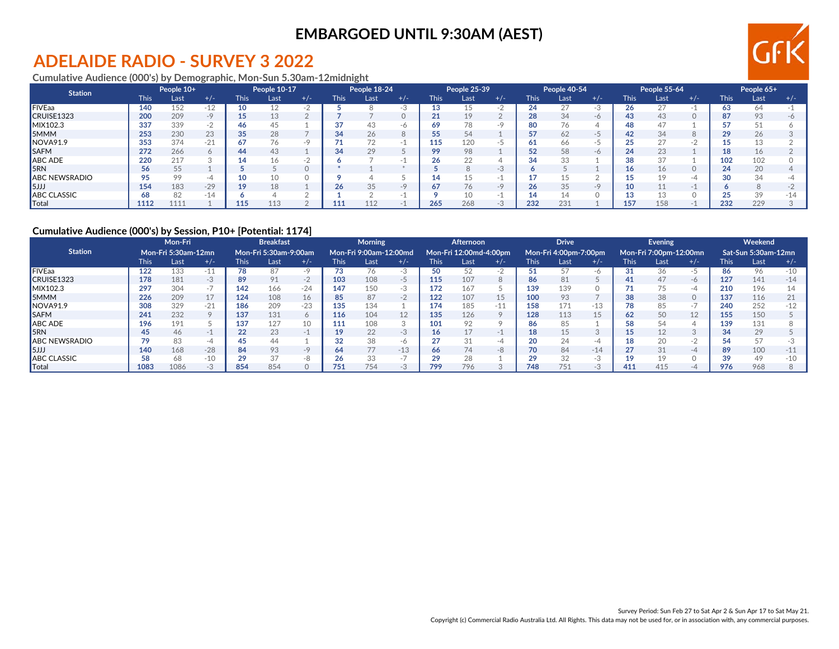## **ADELAIDE RADIO - SURVEY 3 2022**

**Cumulative Audience (000's) by Demographic, Mon-Sun 5.30am-12midnight**

| <b>Station</b>       |      | People 10+ |       |             | People 10-17 |               |             | People 18-24 |       |             | People 25-39 |       |      | People 40-54 |       |             | People 55-64 |       |      | People 65+ |       |
|----------------------|------|------------|-------|-------------|--------------|---------------|-------------|--------------|-------|-------------|--------------|-------|------|--------------|-------|-------------|--------------|-------|------|------------|-------|
|                      | This | Last       | $+/-$ | <b>This</b> | Last         | $+/-$         | <b>This</b> | Last         | $+/-$ | <b>This</b> | Last         | $+/-$ | This | Last         | $+/-$ | <b>This</b> | Last         | $+/-$ | This | Last       | $+/-$ |
| <b>FIVEaa</b>        | 140  | 152        | $-12$ | 10          |              |               |             |              |       |             |              |       | 24   |              |       | 26.         |              |       |      | 64         |       |
| CRUISE1323           | 200  | 209        | $-Q$  | 15          | 13           |               |             |              |       |             | 19           |       | 28   | 34           | $-6$  | 43          | 43           |       |      | 93         |       |
| MIX102.3             | 337  | 339        | $-1$  | 46          | 45           |               |             | 43           | -6    |             | 78           | -9    | 80   | 76           |       | 48          |              |       |      |            |       |
| 5MMM                 | 253  | 230        | 23    | 35          | 28           |               |             | 26           |       |             | 54           |       | 57   | 62           | $-$   | 42          | 34           |       |      | 26         |       |
| NOVA91.9             | 353  | 374        | $-21$ | 67          | 76           | $-9$          |             |              |       | 115.        | 120          |       | 61   | 66           |       |             | クフ           |       |      |            |       |
| <b>SAFM</b>          | 272  | 266        |       | 44          | 43           |               | 34          | 29           |       | 99          | 98           |       | 52   | 58           | $-6$  | 24          | 23           |       |      | 16         |       |
| ABC ADE              | 220  | 217        |       | 14          | 16           | $\sim$ $\sim$ |             |              |       |             | 22           |       | 34   | 33           |       | 38          | $\cap$       |       | 102  | 102        |       |
| <b>SRN</b>           | 56   | 55         |       |             |              |               |             |              |       |             |              |       |      |              |       | 16          | 16           |       | 24   | 20         |       |
| <b>ABC NEWSRADIO</b> |      | 99         | -4    | 10          | 10           |               |             |              |       |             |              |       | . .  |              |       |             |              | -4    |      | 34         |       |
| 5JJ                  | 154  | 183        | $-29$ | 19          | 18           |               | 26          | 35           |       | 67          | 76           | -o    | 26   | 35           | $-9$  | 10          |              |       |      |            |       |
| <b>ABC CLASSIC</b>   | 68   | 82         | $-14$ |             |              |               |             |              |       |             |              |       | 14   | 14           |       |             |              |       |      | 39         |       |
| $\blacksquare$ Total | 1112 | 1111       |       | 115         | 113          |               | 111         |              |       | 265         | 268          |       | 232  | 231          |       | 157         | 158          |       | 232  | 229        |       |

### **Cumulative Audience (000's) by Session, P10+ [Potential: 1174]**

|                          |       | Mon-Fri<br>Mon-Fri 5:30am-12mn |         |             | <b>Breakfast</b>      |         |             | <b>Morning</b>         |                 |             | <b>Afternoon</b>       |         |             | <b>Drive</b>          |       |             | Evening                |       |             | Weekend             |       |
|--------------------------|-------|--------------------------------|---------|-------------|-----------------------|---------|-------------|------------------------|-----------------|-------------|------------------------|---------|-------------|-----------------------|-------|-------------|------------------------|-------|-------------|---------------------|-------|
| <b>Station</b>           |       |                                |         |             | Mon-Fri 5:30am-9:00am |         |             | Mon-Fri 9:00am-12:00md |                 |             | Mon-Fri 12:00md-4:00pm |         |             | Mon-Fri 4:00pm-7:00pm |       |             | Mon-Fri 7:00pm-12:00mn |       |             | Sat-Sun 5:30am-12mn |       |
|                          | This: | Last                           | $+/-$   | <b>This</b> | Last                  | $+/-$   | <b>This</b> | Last                   | $+/-$           | <b>This</b> | Last                   | $+/-$   | <b>This</b> | Last                  | $+/-$ | <b>This</b> | Last                   | $+/-$ | <b>This</b> | Last                | $+/-$ |
| <b>FIVEaa</b>            | 122   | 133                            | $-11$   | 78          | 87                    | $-9$    |             |                        |                 |             | 52                     | - 7     | 51          | 57                    | -6    | 31          | 36                     | $-5$  | 86          | 96                  | $-10$ |
| CRUISE1323               | 178   | 181                            | -3      | 89          | 91                    | $-2$    | 103         | 108                    | -5              | 115         | 107                    | 8       | 86          | 81                    |       | 41          | 47                     | -6    | 127         | 141                 | $-14$ |
| MIX102.3                 | 297   | 304                            | $-1$    | 142         | 166                   | $-24$   | 147         | 150                    | -3              | 172         | 167                    |         | 139         | 139                   |       |             |                        | -4    | 210         | 196                 |       |
| <b>5MMM</b>              | 226   | 209                            | 17      | 124         | 108                   | 16      | 85          | 87                     | $-2$            | 122         | 107                    | 15      | 100         | 93                    |       | 38          | 38                     | 0     | 137         | 116                 |       |
| NOVA91.9                 | 308   | 329                            | $-21$   | 186         | 209                   | $-23$   | 135         | 134                    |                 | 174         | 185                    | $-11$   | 158         | 171                   | $-13$ | 78          | 85                     | $-1$  | 240         | 252                 | $-12$ |
| <b>ISAFM</b>             | 241   | 232                            | $\circ$ | 137         | 131                   | $\circ$ | 116         | 104                    | 12 <sup>°</sup> | 135         | 126                    | $\circ$ | 128         | 113                   | 15    | 62          | 50                     | 12    | 155         | 150                 |       |
| ABC ADE                  | 196   | 191                            |         | 137         | 127                   | 10      | 111         | 108                    |                 | 101         | 92                     |         | 86          | 85                    |       | 58          |                        |       | 139         | 131                 |       |
| <b>I</b> <sub>5</sub> RN | 45    | 46                             |         | 22          | 23                    | $-1$    |             | 22                     | $-3$            | 16          | 17                     |         | 18          |                       |       |             | 12                     |       | 34          | 29                  |       |
| <b>ABC NEWSRADIO</b>     | 70    | 83                             | -4      | 45          | 44                    |         |             | 38                     | -6              |             | 31                     | -4      | 20          | 24                    | -4    | 18          | 20                     | $-2$  |             | 57                  |       |
| 5JJJ                     | 140   | 168                            | $-28$   | 84          | 93                    | $-9$    | 64          | 77                     | $-13$           | 66          | 74                     | -8      | 70          | 84                    | $-14$ | 27          | 31                     | $-4$  | 89          | 100                 |       |
| <b>ABC CLASSIC</b>       | 58    | 68                             | $-10$   | 29          | 37                    | -8      |             | 33                     | . .             |             | 28                     |         | 29          | 32                    | $-3$  | 19          |                        |       |             | 49                  |       |
| <b>Total</b>             | 1083  | 1086                           |         | 854         | 854                   |         | 751         | 754                    |                 | 799         | 796                    |         | 748         | 751                   | $-3$  | 411         | 415                    |       | 976         | 968                 |       |

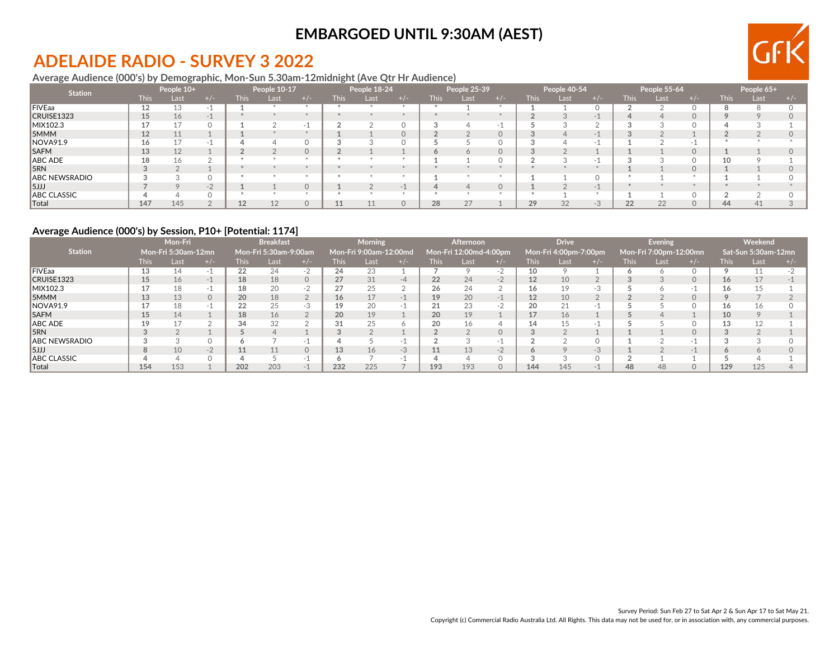## **ADELAIDE RADIO - SURVEY 3 2022**

### **Average Audience (000's) by Demographic, Mon-Sun 5.30am-12midnight (Ave Qtr Hr Audience)**

| <b>Station</b>        |             | People 10+ |       |             | People 10-17 |          |             | People 18-24 |          |             | People 25-39 |       |             | People 40-54 |       |             | People 55-64 |       |             | People 65+ |  |
|-----------------------|-------------|------------|-------|-------------|--------------|----------|-------------|--------------|----------|-------------|--------------|-------|-------------|--------------|-------|-------------|--------------|-------|-------------|------------|--|
|                       | <b>This</b> | Last,      | + / - | <b>This</b> | Last         | $+/-$    | <b>This</b> | Last         | $+/-$    | <b>This</b> | Last         | $+/-$ | <b>This</b> | Last         | + / - | <b>This</b> | Last         | $+/-$ | <b>This</b> | Last       |  |
| FIVEaa                | 12          | 13         |       |             |              |          |             |              |          |             |              |       |             |              |       |             |              |       |             |            |  |
| CRUISE1323            | 15          | 16         | $-1$  |             |              |          |             |              |          |             |              |       |             |              |       |             |              |       |             |            |  |
| MIX102.3              |             | 17         |       |             |              | - 1      |             |              |          |             |              |       |             |              |       |             |              |       |             |            |  |
| 5MMM                  | 12          | 11         |       |             |              |          |             |              | $\Omega$ |             |              |       |             |              |       |             |              |       |             |            |  |
| NOVA91.9              |             |            |       |             |              |          |             |              |          |             |              |       |             |              |       |             |              | -     |             |            |  |
| <b>SAFM</b>           | 13          | 12         |       |             |              | $\Omega$ |             |              |          |             |              |       |             |              |       |             |              |       |             |            |  |
| ABC ADE               |             | 16         |       |             |              |          |             |              |          |             |              |       |             |              |       |             |              |       |             |            |  |
| 5RN                   |             |            |       |             |              |          |             |              |          |             |              |       |             |              |       |             |              |       |             |            |  |
| ABC NEWSRADIO         |             |            |       |             |              |          |             |              |          |             |              |       |             |              |       |             |              |       |             |            |  |
| 5JJJ                  |             |            | $-1$  |             |              |          |             |              |          |             |              |       |             |              |       |             |              |       |             |            |  |
| ABC CLASSIC           |             |            |       |             |              |          |             |              |          |             |              |       |             |              |       |             |              |       |             |            |  |
| $\  \mathsf{Total}\ $ | 147         | 145        |       | 12          | 12           | $\Omega$ |             |              |          | 28          | 27           |       | 29          | 32           | $-3$  | 22          | 22           |       | 44          | 41         |  |

### **Average Audience (000's) by Session, P10+ [Potential: 1174]**

|                      | Mon-Fri<br>Mon-Fri 5:30am-12mn |      |          |             | <b>Breakfast</b>      |          |             | Morning                |      |      | <b>Afternoon</b>       |          |                   | <b>Drive</b>          |      |             | Evening                |           |      | Weekend             |  |
|----------------------|--------------------------------|------|----------|-------------|-----------------------|----------|-------------|------------------------|------|------|------------------------|----------|-------------------|-----------------------|------|-------------|------------------------|-----------|------|---------------------|--|
| <b>Station</b>       |                                |      |          |             | Mon-Fri 5:30am-9:00am |          |             | Mon-Fri 9:00am-12:00md |      |      | Mon-Fri 12:00md-4:00pm |          |                   | Mon-Fri 4:00pm-7:00pm |      |             | Mon-Fri 7:00pm-12:00mn |           |      | Sat-Sun 5:30am-12mn |  |
|                      | This.                          | Last |          | <b>This</b> | Last                  | $+/-$    | <b>This</b> | Last                   |      | This | Last                   |          | This              | Last                  |      | <b>This</b> | Last                   | $+$ / $-$ | This | Last                |  |
| <b>IFIVEaa</b>       | 13                             | 14   |          | 22          | 24                    | -2       | 24          | 23                     |      |      |                        | $-2$     | 10                |                       |      |             |                        |           |      |                     |  |
| CRUISE1323           | 15                             | 16   | $-1$     | 18          | 18                    | $\Omega$ | 27          | 31                     | $-4$ | 22   | 24                     | $-2$     | 12                | 10                    |      |             |                        | $\Omega$  | 16   | 17                  |  |
| MIX102.3             |                                | 18   | $-1$     | 18          | 20                    | $-2$     | 27          | 25                     |      | 26   | 24                     |          | 16                | 19                    | -3   |             |                        |           | 16   | 15                  |  |
| <b>5MMM</b>          | 13                             | 13   | $\Omega$ | 20          | 18                    |          | 16          |                        |      | 19   | 20                     |          | 12                | 10                    |      |             |                        |           |      |                     |  |
| <b>NOVA91.9</b>      |                                | 18   | - 1      | 22          | 25                    | $-3$     | 19          | 20                     |      |      | 23                     | - 2      | 20                | 21                    |      |             |                        |           | 16   | 16                  |  |
| <b>SAFM</b>          | 15                             | 14   |          | 18          | 16                    |          | 20          | 19                     |      | 20   | 19                     |          | 17                | 16                    |      |             |                        |           | 10   |                     |  |
| ABC ADE              | 19                             | 17   |          | 34          | 32                    |          | 31          | 25                     |      | 20   | 16                     |          | 14                | 15                    |      |             |                        |           | 13   | 12                  |  |
| 15RN                 |                                |      |          |             |                       |          |             |                        |      |      |                        | $\Omega$ | $\sim$<br>$\cdot$ |                       |      |             |                        |           |      |                     |  |
| <b>ABC NEWSRADIO</b> |                                |      |          | o           |                       | $-1$     |             |                        |      |      |                        | $-1$     |                   |                       |      |             |                        |           |      |                     |  |
| 5JJJ                 | 8                              | 10   | $-2$     | 11          | 11                    | $\Omega$ | 13          | 16                     | $-3$ | 11   | 13                     | $-2$     | <sup>o</sup>      |                       | $-3$ |             |                        |           |      |                     |  |
| <b>ABC CLASSIC</b>   |                                | 4    | O        | ▵           |                       | $-1$     |             |                        |      |      |                        |          | $\sqrt{2}$        |                       |      |             |                        |           |      |                     |  |
| $\  \text{Total}$    | 154                            | 153  |          | 202         | 203                   | $-1$     | 232         | 225                    |      | 193  | 193                    |          | 144               | 145                   |      | 48          | 48                     |           | 129  | 125                 |  |